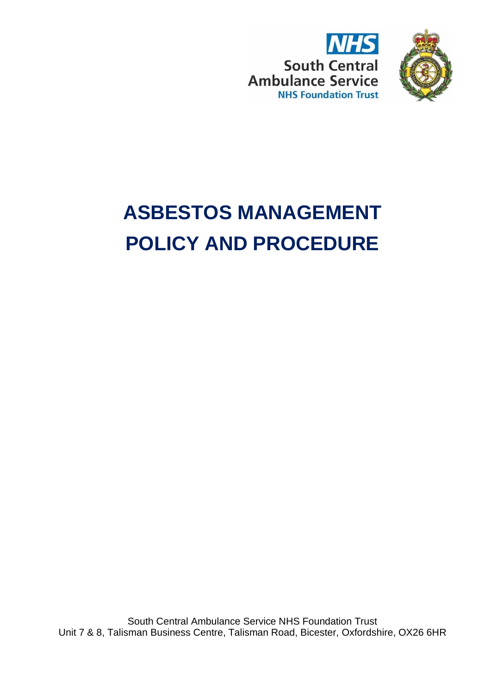



# **ASBESTOS MANAGEMENT POLICY AND PROCEDURE**

South Central Ambulance Service NHS Foundation Trust Unit 7 & 8, Talisman Business Centre, Talisman Road, Bicester, Oxfordshire, OX26 6HR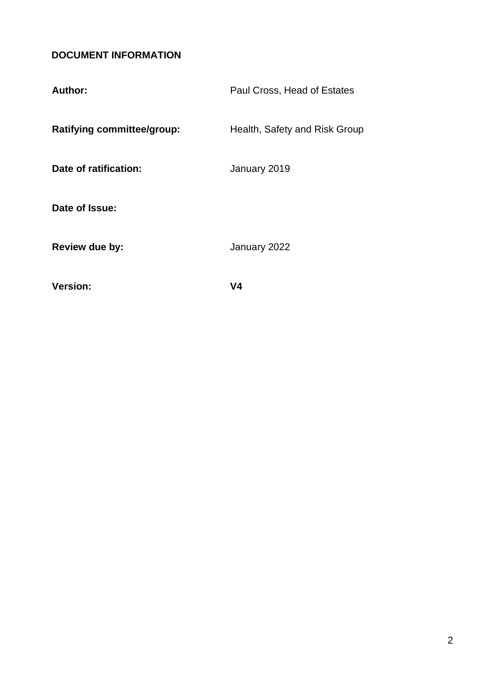## <span id="page-1-0"></span>**DOCUMENT INFORMATION**

| Date of ratification:<br>January 2019<br>Date of Issue:<br>January 2022<br>Review due by: | Author:                           | Paul Cross, Head of Estates   |
|-------------------------------------------------------------------------------------------|-----------------------------------|-------------------------------|
|                                                                                           | <b>Ratifying committee/group:</b> | Health, Safety and Risk Group |
|                                                                                           |                                   |                               |
|                                                                                           |                                   |                               |
| <b>Version:</b><br>V4                                                                     |                                   |                               |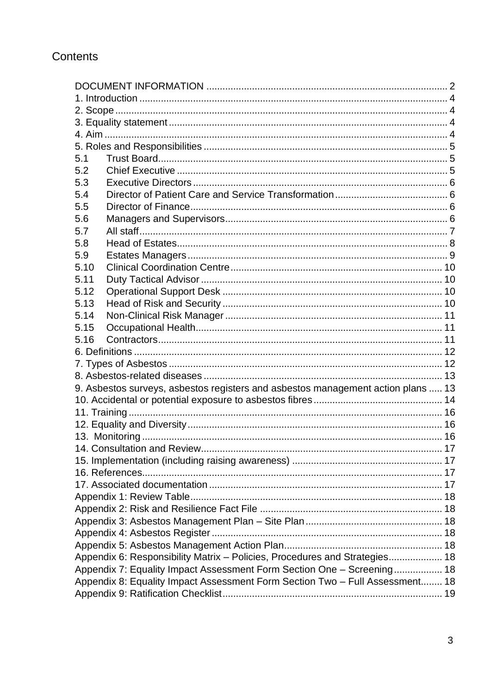## Contents

| 5.1                                                                        |                                                                                  |  |
|----------------------------------------------------------------------------|----------------------------------------------------------------------------------|--|
| 5.2                                                                        |                                                                                  |  |
| 5.3                                                                        |                                                                                  |  |
| 5.4                                                                        |                                                                                  |  |
| 5.5                                                                        |                                                                                  |  |
| 5.6                                                                        |                                                                                  |  |
| 5.7                                                                        |                                                                                  |  |
| 5.8                                                                        |                                                                                  |  |
| 5.9                                                                        |                                                                                  |  |
| 5.10                                                                       |                                                                                  |  |
| 5.11                                                                       |                                                                                  |  |
| 5.12                                                                       |                                                                                  |  |
| 5.13                                                                       |                                                                                  |  |
| 5.14                                                                       |                                                                                  |  |
| 5.15                                                                       |                                                                                  |  |
| 5.16                                                                       |                                                                                  |  |
|                                                                            |                                                                                  |  |
|                                                                            |                                                                                  |  |
|                                                                            |                                                                                  |  |
|                                                                            | 9. Asbestos surveys, asbestos registers and asbestos management action plans  13 |  |
|                                                                            |                                                                                  |  |
|                                                                            |                                                                                  |  |
|                                                                            |                                                                                  |  |
|                                                                            |                                                                                  |  |
|                                                                            | 14. Consultation and Review.                                                     |  |
|                                                                            |                                                                                  |  |
|                                                                            |                                                                                  |  |
|                                                                            |                                                                                  |  |
|                                                                            |                                                                                  |  |
|                                                                            |                                                                                  |  |
|                                                                            |                                                                                  |  |
|                                                                            |                                                                                  |  |
|                                                                            |                                                                                  |  |
| Appendix 6: Responsibility Matrix - Policies, Procedures and Strategies 18 |                                                                                  |  |
| Appendix 7: Equality Impact Assessment Form Section One - Screening 18     |                                                                                  |  |
|                                                                            | Appendix 8: Equality Impact Assessment Form Section Two - Full Assessment 18     |  |
|                                                                            |                                                                                  |  |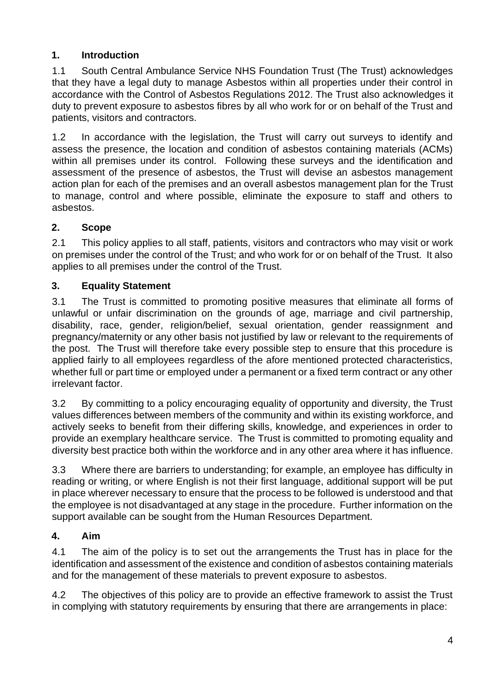## <span id="page-3-0"></span>**1. Introduction**

1.1 South Central Ambulance Service NHS Foundation Trust (The Trust) acknowledges that they have a legal duty to manage Asbestos within all properties under their control in accordance with the Control of Asbestos Regulations 2012. The Trust also acknowledges it duty to prevent exposure to asbestos fibres by all who work for or on behalf of the Trust and patients, visitors and contractors.

1.2 In accordance with the legislation, the Trust will carry out surveys to identify and assess the presence, the location and condition of asbestos containing materials (ACMs) within all premises under its control. Following these surveys and the identification and assessment of the presence of asbestos, the Trust will devise an asbestos management action plan for each of the premises and an overall asbestos management plan for the Trust to manage, control and where possible, eliminate the exposure to staff and others to asbestos.

## <span id="page-3-1"></span>**2. Scope**

2.1 This policy applies to all staff, patients, visitors and contractors who may visit or work on premises under the control of the Trust; and who work for or on behalf of the Trust. It also applies to all premises under the control of the Trust.

## <span id="page-3-2"></span>**3. Equality Statement**

3.1 The Trust is committed to promoting positive measures that eliminate all forms of unlawful or unfair discrimination on the grounds of age, marriage and civil partnership, disability, race, gender, religion/belief, sexual orientation, gender reassignment and pregnancy/maternity or any other basis not justified by law or relevant to the requirements of the post. The Trust will therefore take every possible step to ensure that this procedure is applied fairly to all employees regardless of the afore mentioned protected characteristics, whether full or part time or employed under a permanent or a fixed term contract or any other irrelevant factor.

3.2 By committing to a policy encouraging equality of opportunity and diversity, the Trust values differences between members of the community and within its existing workforce, and actively seeks to benefit from their differing skills, knowledge, and experiences in order to provide an exemplary healthcare service. The Trust is committed to promoting equality and diversity best practice both within the workforce and in any other area where it has influence.

3.3 Where there are barriers to understanding; for example, an employee has difficulty in reading or writing, or where English is not their first language, additional support will be put in place wherever necessary to ensure that the process to be followed is understood and that the employee is not disadvantaged at any stage in the procedure. Further information on the support available can be sought from the Human Resources Department.

## <span id="page-3-3"></span>**4. Aim**

4.1 The aim of the policy is to set out the arrangements the Trust has in place for the identification and assessment of the existence and condition of asbestos containing materials and for the management of these materials to prevent exposure to asbestos.

4.2 The objectives of this policy are to provide an effective framework to assist the Trust in complying with statutory requirements by ensuring that there are arrangements in place: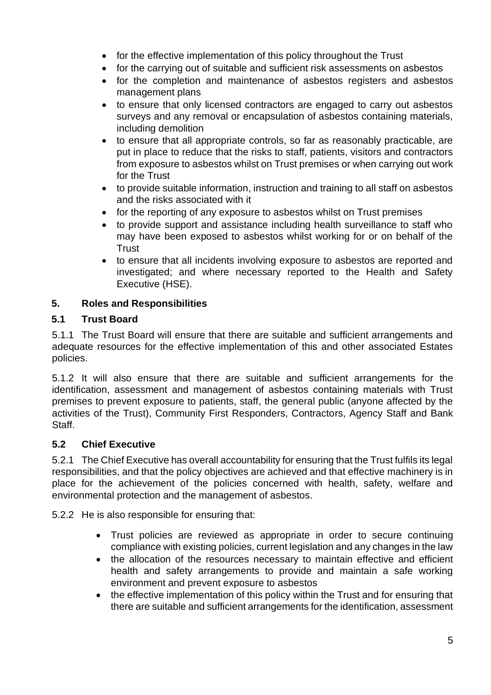- for the effective implementation of this policy throughout the Trust
- for the carrying out of suitable and sufficient risk assessments on asbestos
- for the completion and maintenance of asbestos registers and asbestos management plans
- to ensure that only licensed contractors are engaged to carry out asbestos surveys and any removal or encapsulation of asbestos containing materials, including demolition
- to ensure that all appropriate controls, so far as reasonably practicable, are put in place to reduce that the risks to staff, patients, visitors and contractors from exposure to asbestos whilst on Trust premises or when carrying out work for the Trust
- to provide suitable information, instruction and training to all staff on asbestos and the risks associated with it
- for the reporting of any exposure to asbestos whilst on Trust premises
- to provide support and assistance including health surveillance to staff who may have been exposed to asbestos whilst working for or on behalf of the **Trust**
- to ensure that all incidents involving exposure to asbestos are reported and investigated; and where necessary reported to the Health and Safety Executive (HSE).

## <span id="page-4-0"></span>**5. Roles and Responsibilities**

#### <span id="page-4-1"></span>**5.1 Trust Board**

5.1.1 The Trust Board will ensure that there are suitable and sufficient arrangements and adequate resources for the effective implementation of this and other associated Estates policies.

5.1.2 It will also ensure that there are suitable and sufficient arrangements for the identification, assessment and management of asbestos containing materials with Trust premises to prevent exposure to patients, staff, the general public (anyone affected by the activities of the Trust), Community First Responders, Contractors, Agency Staff and Bank Staff.

#### <span id="page-4-2"></span>**5.2 Chief Executive**

5.2.1 The Chief Executive has overall accountability for ensuring that the Trust fulfils its legal responsibilities, and that the policy objectives are achieved and that effective machinery is in place for the achievement of the policies concerned with health, safety, welfare and environmental protection and the management of asbestos.

5.2.2 He is also responsible for ensuring that:

- Trust policies are reviewed as appropriate in order to secure continuing compliance with existing policies, current legislation and any changes in the law
- the allocation of the resources necessary to maintain effective and efficient health and safety arrangements to provide and maintain a safe working environment and prevent exposure to asbestos
- the effective implementation of this policy within the Trust and for ensuring that there are suitable and sufficient arrangements for the identification, assessment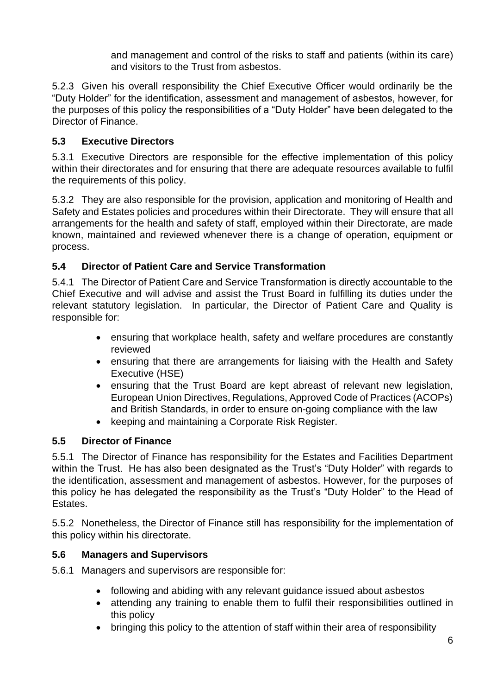and management and control of the risks to staff and patients (within its care) and visitors to the Trust from asbestos.

5.2.3 Given his overall responsibility the Chief Executive Officer would ordinarily be the "Duty Holder" for the identification, assessment and management of asbestos, however, for the purposes of this policy the responsibilities of a "Duty Holder" have been delegated to the Director of Finance.

## <span id="page-5-0"></span>**5.3 Executive Directors**

5.3.1 Executive Directors are responsible for the effective implementation of this policy within their directorates and for ensuring that there are adequate resources available to fulfil the requirements of this policy.

5.3.2 They are also responsible for the provision, application and monitoring of Health and Safety and Estates policies and procedures within their Directorate. They will ensure that all arrangements for the health and safety of staff, employed within their Directorate, are made known, maintained and reviewed whenever there is a change of operation, equipment or process.

#### <span id="page-5-1"></span>**5.4 Director of Patient Care and Service Transformation**

5.4.1 The Director of Patient Care and Service Transformation is directly accountable to the Chief Executive and will advise and assist the Trust Board in fulfilling its duties under the relevant statutory legislation. In particular, the Director of Patient Care and Quality is responsible for:

- ensuring that workplace health, safety and welfare procedures are constantly reviewed
- ensuring that there are arrangements for liaising with the Health and Safety Executive (HSE)
- ensuring that the Trust Board are kept abreast of relevant new legislation, European Union Directives, Regulations, Approved Code of Practices (ACOPs) and British Standards, in order to ensure on-going compliance with the law
- keeping and maintaining a Corporate Risk Register.

## <span id="page-5-2"></span>**5.5 Director of Finance**

5.5.1 The Director of Finance has responsibility for the Estates and Facilities Department within the Trust. He has also been designated as the Trust's "Duty Holder" with regards to the identification, assessment and management of asbestos. However, for the purposes of this policy he has delegated the responsibility as the Trust's "Duty Holder" to the Head of **Estates** 

5.5.2 Nonetheless, the Director of Finance still has responsibility for the implementation of this policy within his directorate.

#### <span id="page-5-3"></span>**5.6 Managers and Supervisors**

- 5.6.1 Managers and supervisors are responsible for:
	- following and abiding with any relevant guidance issued about asbestos
	- attending any training to enable them to fulfil their responsibilities outlined in this policy
	- bringing this policy to the attention of staff within their area of responsibility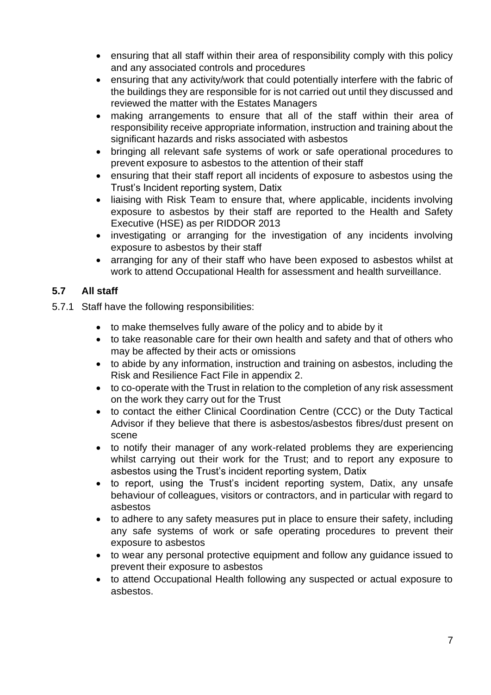- ensuring that all staff within their area of responsibility comply with this policy and any associated controls and procedures
- ensuring that any activity/work that could potentially interfere with the fabric of the buildings they are responsible for is not carried out until they discussed and reviewed the matter with the Estates Managers
- making arrangements to ensure that all of the staff within their area of responsibility receive appropriate information, instruction and training about the significant hazards and risks associated with asbestos
- bringing all relevant safe systems of work or safe operational procedures to prevent exposure to asbestos to the attention of their staff
- ensuring that their staff report all incidents of exposure to asbestos using the Trust's Incident reporting system, Datix
- liaising with Risk Team to ensure that, where applicable, incidents involving exposure to asbestos by their staff are reported to the Health and Safety Executive (HSE) as per RIDDOR 2013
- investigating or arranging for the investigation of any incidents involving exposure to asbestos by their staff
- arranging for any of their staff who have been exposed to asbestos whilst at work to attend Occupational Health for assessment and health surveillance.

## <span id="page-6-0"></span>**5.7 All staff**

- 5.7.1 Staff have the following responsibilities:
	- to make themselves fully aware of the policy and to abide by it
	- to take reasonable care for their own health and safety and that of others who may be affected by their acts or omissions
	- to abide by any information, instruction and training on asbestos, including the Risk and Resilience Fact File in appendix 2.
	- to co-operate with the Trust in relation to the completion of any risk assessment on the work they carry out for the Trust
	- to contact the either Clinical Coordination Centre (CCC) or the Duty Tactical Advisor if they believe that there is asbestos/asbestos fibres/dust present on scene
	- to notify their manager of any work-related problems they are experiencing whilst carrying out their work for the Trust; and to report any exposure to asbestos using the Trust's incident reporting system, Datix
	- to report, using the Trust's incident reporting system, Datix, any unsafe behaviour of colleagues, visitors or contractors, and in particular with regard to asbestos
	- to adhere to any safety measures put in place to ensure their safety, including any safe systems of work or safe operating procedures to prevent their exposure to asbestos
	- to wear any personal protective equipment and follow any guidance issued to prevent their exposure to asbestos
	- to attend Occupational Health following any suspected or actual exposure to asbestos.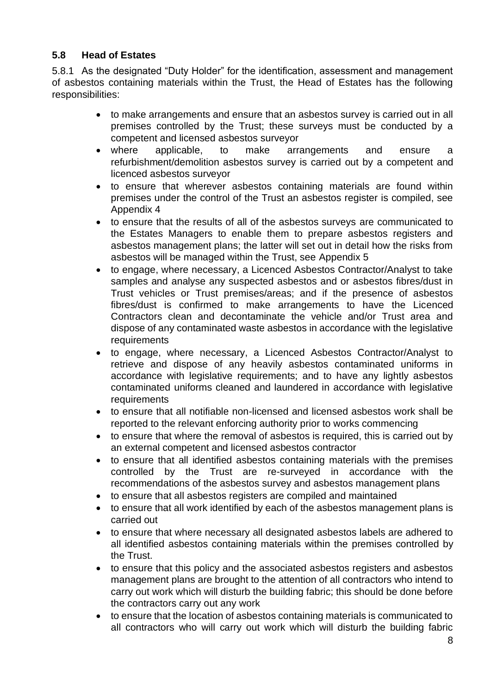## <span id="page-7-0"></span>**5.8 Head of Estates**

5.8.1 As the designated "Duty Holder" for the identification, assessment and management of asbestos containing materials within the Trust, the Head of Estates has the following responsibilities:

- to make arrangements and ensure that an asbestos survey is carried out in all premises controlled by the Trust; these surveys must be conducted by a competent and licensed asbestos surveyor
- where applicable, to make arrangements and ensure a refurbishment/demolition asbestos survey is carried out by a competent and licenced asbestos surveyor
- to ensure that wherever asbestos containing materials are found within premises under the control of the Trust an asbestos register is compiled, see Appendix 4
- to ensure that the results of all of the asbestos surveys are communicated to the Estates Managers to enable them to prepare asbestos registers and asbestos management plans; the latter will set out in detail how the risks from asbestos will be managed within the Trust, see Appendix 5
- to engage, where necessary, a Licenced Asbestos Contractor/Analyst to take samples and analyse any suspected asbestos and or asbestos fibres/dust in Trust vehicles or Trust premises/areas; and if the presence of asbestos fibres/dust is confirmed to make arrangements to have the Licenced Contractors clean and decontaminate the vehicle and/or Trust area and dispose of any contaminated waste asbestos in accordance with the legislative requirements
- to engage, where necessary, a Licenced Asbestos Contractor/Analyst to retrieve and dispose of any heavily asbestos contaminated uniforms in accordance with legislative requirements; and to have any lightly asbestos contaminated uniforms cleaned and laundered in accordance with legislative requirements
- to ensure that all notifiable non-licensed and licensed asbestos work shall be reported to the relevant enforcing authority prior to works commencing
- to ensure that where the removal of asbestos is required, this is carried out by an external competent and licensed asbestos contractor
- to ensure that all identified asbestos containing materials with the premises controlled by the Trust are re-surveyed in accordance with the recommendations of the asbestos survey and asbestos management plans
- to ensure that all asbestos registers are compiled and maintained
- to ensure that all work identified by each of the asbestos management plans is carried out
- to ensure that where necessary all designated asbestos labels are adhered to all identified asbestos containing materials within the premises controlled by the Trust.
- to ensure that this policy and the associated asbestos registers and asbestos management plans are brought to the attention of all contractors who intend to carry out work which will disturb the building fabric; this should be done before the contractors carry out any work
- to ensure that the location of asbestos containing materials is communicated to all contractors who will carry out work which will disturb the building fabric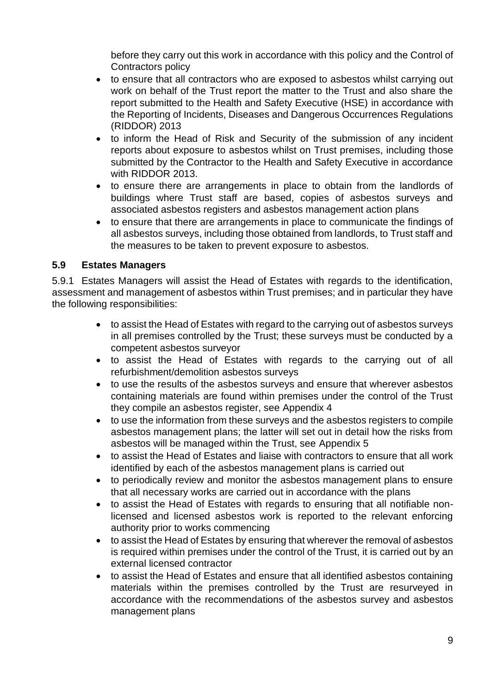before they carry out this work in accordance with this policy and the Control of Contractors policy

- to ensure that all contractors who are exposed to asbestos whilst carrying out work on behalf of the Trust report the matter to the Trust and also share the report submitted to the Health and Safety Executive (HSE) in accordance with the Reporting of Incidents, Diseases and Dangerous Occurrences Regulations (RIDDOR) 2013
- to inform the Head of Risk and Security of the submission of any incident reports about exposure to asbestos whilst on Trust premises, including those submitted by the Contractor to the Health and Safety Executive in accordance with RIDDOR 2013.
- to ensure there are arrangements in place to obtain from the landlords of buildings where Trust staff are based, copies of asbestos surveys and associated asbestos registers and asbestos management action plans
- to ensure that there are arrangements in place to communicate the findings of all asbestos surveys, including those obtained from landlords, to Trust staff and the measures to be taken to prevent exposure to asbestos.

#### <span id="page-8-0"></span>**5.9 Estates Managers**

5.9.1 Estates Managers will assist the Head of Estates with regards to the identification, assessment and management of asbestos within Trust premises; and in particular they have the following responsibilities:

- to assist the Head of Estates with regard to the carrying out of asbestos surveys in all premises controlled by the Trust; these surveys must be conducted by a competent asbestos surveyor
- to assist the Head of Estates with regards to the carrying out of all refurbishment/demolition asbestos surveys
- to use the results of the asbestos surveys and ensure that wherever asbestos containing materials are found within premises under the control of the Trust they compile an asbestos register, see Appendix 4
- to use the information from these surveys and the asbestos registers to compile asbestos management plans; the latter will set out in detail how the risks from asbestos will be managed within the Trust, see Appendix 5
- to assist the Head of Estates and liaise with contractors to ensure that all work identified by each of the asbestos management plans is carried out
- to periodically review and monitor the asbestos management plans to ensure that all necessary works are carried out in accordance with the plans
- to assist the Head of Estates with regards to ensuring that all notifiable nonlicensed and licensed asbestos work is reported to the relevant enforcing authority prior to works commencing
- to assist the Head of Estates by ensuring that wherever the removal of asbestos is required within premises under the control of the Trust, it is carried out by an external licensed contractor
- to assist the Head of Estates and ensure that all identified asbestos containing materials within the premises controlled by the Trust are resurveyed in accordance with the recommendations of the asbestos survey and asbestos management plans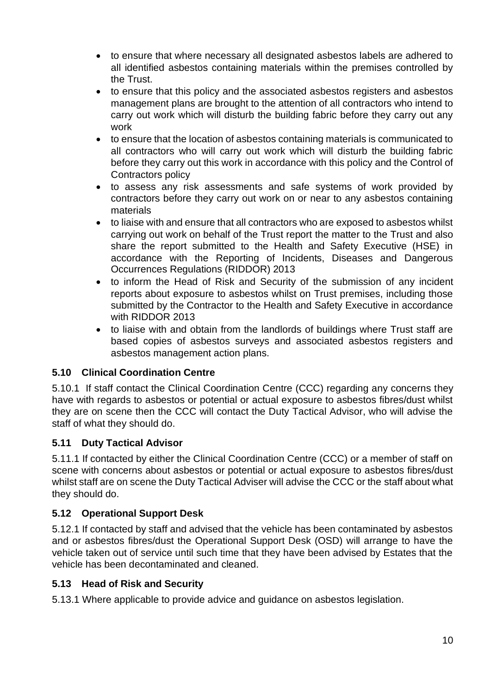- to ensure that where necessary all designated asbestos labels are adhered to all identified asbestos containing materials within the premises controlled by the Trust.
- to ensure that this policy and the associated asbestos registers and asbestos management plans are brought to the attention of all contractors who intend to carry out work which will disturb the building fabric before they carry out any work
- to ensure that the location of asbestos containing materials is communicated to all contractors who will carry out work which will disturb the building fabric before they carry out this work in accordance with this policy and the Control of Contractors policy
- to assess any risk assessments and safe systems of work provided by contractors before they carry out work on or near to any asbestos containing materials
- to liaise with and ensure that all contractors who are exposed to asbestos whilst carrying out work on behalf of the Trust report the matter to the Trust and also share the report submitted to the Health and Safety Executive (HSE) in accordance with the Reporting of Incidents, Diseases and Dangerous Occurrences Regulations (RIDDOR) 2013
- to inform the Head of Risk and Security of the submission of any incident reports about exposure to asbestos whilst on Trust premises, including those submitted by the Contractor to the Health and Safety Executive in accordance with RIDDOR 2013
- to liaise with and obtain from the landlords of buildings where Trust staff are based copies of asbestos surveys and associated asbestos registers and asbestos management action plans.

## <span id="page-9-0"></span>**5.10 Clinical Coordination Centre**

5.10.1 If staff contact the Clinical Coordination Centre (CCC) regarding any concerns they have with regards to asbestos or potential or actual exposure to asbestos fibres/dust whilst they are on scene then the CCC will contact the Duty Tactical Advisor, who will advise the staff of what they should do.

## <span id="page-9-1"></span>**5.11 Duty Tactical Advisor**

5.11.1 If contacted by either the Clinical Coordination Centre (CCC) or a member of staff on scene with concerns about asbestos or potential or actual exposure to asbestos fibres/dust whilst staff are on scene the Duty Tactical Adviser will advise the CCC or the staff about what they should do.

## <span id="page-9-2"></span>**5.12 Operational Support Desk**

5.12.1 If contacted by staff and advised that the vehicle has been contaminated by asbestos and or asbestos fibres/dust the Operational Support Desk (OSD) will arrange to have the vehicle taken out of service until such time that they have been advised by Estates that the vehicle has been decontaminated and cleaned.

## <span id="page-9-3"></span>**5.13 Head of Risk and Security**

5.13.1 Where applicable to provide advice and guidance on asbestos legislation.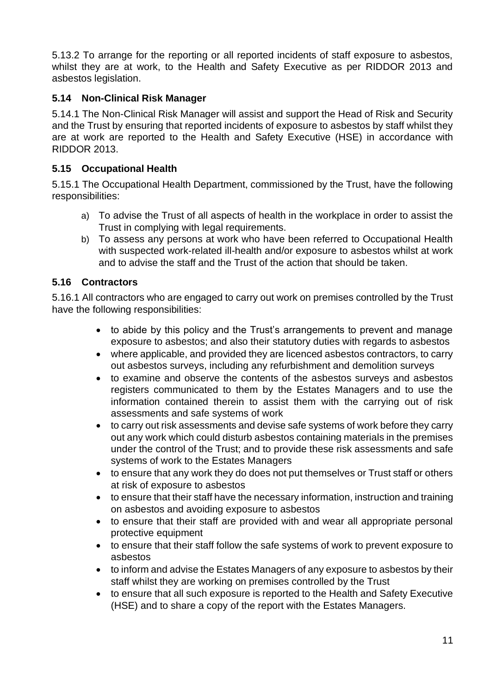5.13.2 To arrange for the reporting or all reported incidents of staff exposure to asbestos, whilst they are at work, to the Health and Safety Executive as per RIDDOR 2013 and asbestos legislation.

#### <span id="page-10-0"></span>**5.14 Non-Clinical Risk Manager**

5.14.1 The Non-Clinical Risk Manager will assist and support the Head of Risk and Security and the Trust by ensuring that reported incidents of exposure to asbestos by staff whilst they are at work are reported to the Health and Safety Executive (HSE) in accordance with RIDDOR 2013.

#### <span id="page-10-1"></span>**5.15 Occupational Health**

5.15.1 The Occupational Health Department, commissioned by the Trust, have the following responsibilities:

- a) To advise the Trust of all aspects of health in the workplace in order to assist the Trust in complying with legal requirements.
- b) To assess any persons at work who have been referred to Occupational Health with suspected work-related ill-health and/or exposure to asbestos whilst at work and to advise the staff and the Trust of the action that should be taken.

#### <span id="page-10-2"></span>**5.16 Contractors**

5.16.1 All contractors who are engaged to carry out work on premises controlled by the Trust have the following responsibilities:

- to abide by this policy and the Trust's arrangements to prevent and manage exposure to asbestos; and also their statutory duties with regards to asbestos
- where applicable, and provided they are licenced asbestos contractors, to carry out asbestos surveys, including any refurbishment and demolition surveys
- to examine and observe the contents of the asbestos surveys and asbestos registers communicated to them by the Estates Managers and to use the information contained therein to assist them with the carrying out of risk assessments and safe systems of work
- to carry out risk assessments and devise safe systems of work before they carry out any work which could disturb asbestos containing materials in the premises under the control of the Trust; and to provide these risk assessments and safe systems of work to the Estates Managers
- to ensure that any work they do does not put themselves or Trust staff or others at risk of exposure to asbestos
- to ensure that their staff have the necessary information, instruction and training on asbestos and avoiding exposure to asbestos
- to ensure that their staff are provided with and wear all appropriate personal protective equipment
- to ensure that their staff follow the safe systems of work to prevent exposure to asbestos
- to inform and advise the Estates Managers of any exposure to asbestos by their staff whilst they are working on premises controlled by the Trust
- to ensure that all such exposure is reported to the Health and Safety Executive (HSE) and to share a copy of the report with the Estates Managers.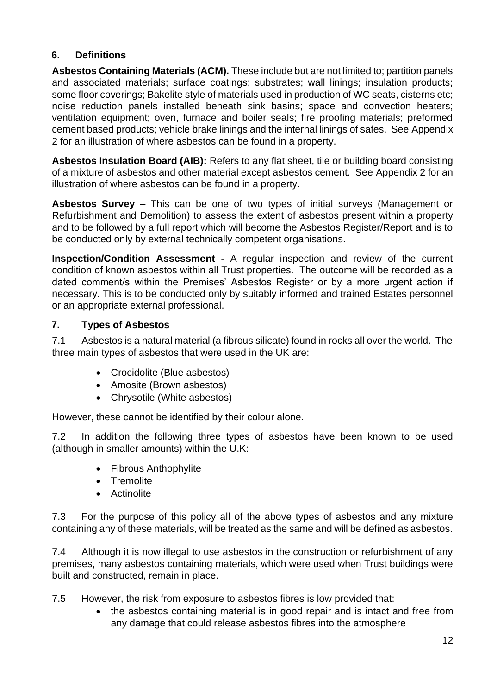## <span id="page-11-0"></span>**6. Definitions**

**Asbestos Containing Materials (ACM).** These include but are not limited to; partition panels and associated materials; surface coatings; substrates; wall linings; insulation products; some floor coverings; Bakelite style of materials used in production of WC seats, cisterns etc; noise reduction panels installed beneath sink basins; space and convection heaters; ventilation equipment; oven, furnace and boiler seals; fire proofing materials; preformed cement based products; vehicle brake linings and the internal linings of safes. See Appendix 2 for an illustration of where asbestos can be found in a property.

**Asbestos Insulation Board (AIB):** Refers to any flat sheet, tile or building board consisting of a mixture of asbestos and other material except asbestos cement. See Appendix 2 for an illustration of where asbestos can be found in a property.

**Asbestos Survey –** This can be one of two types of initial surveys (Management or Refurbishment and Demolition) to assess the extent of asbestos present within a property and to be followed by a full report which will become the Asbestos Register/Report and is to be conducted only by external technically competent organisations.

**Inspection/Condition Assessment -** A regular inspection and review of the current condition of known asbestos within all Trust properties. The outcome will be recorded as a dated comment/s within the Premises' Asbestos Register or by a more urgent action if necessary. This is to be conducted only by suitably informed and trained Estates personnel or an appropriate external professional.

#### <span id="page-11-1"></span>**7. Types of Asbestos**

7.1 Asbestos is a natural material (a fibrous silicate) found in rocks all over the world. The three main types of asbestos that were used in the UK are:

- Crocidolite (Blue asbestos)
- Amosite (Brown asbestos)
- Chrysotile (White asbestos)

However, these cannot be identified by their colour alone.

7.2 In addition the following three types of asbestos have been known to be used (although in smaller amounts) within the U.K:

- Fibrous Anthophylite
- Tremolite
- Actinolite

7.3 For the purpose of this policy all of the above types of asbestos and any mixture containing any of these materials, will be treated as the same and will be defined as asbestos.

7.4 Although it is now illegal to use asbestos in the construction or refurbishment of any premises, many asbestos containing materials, which were used when Trust buildings were built and constructed, remain in place.

7.5 However, the risk from exposure to asbestos fibres is low provided that:

• the asbestos containing material is in good repair and is intact and free from any damage that could release asbestos fibres into the atmosphere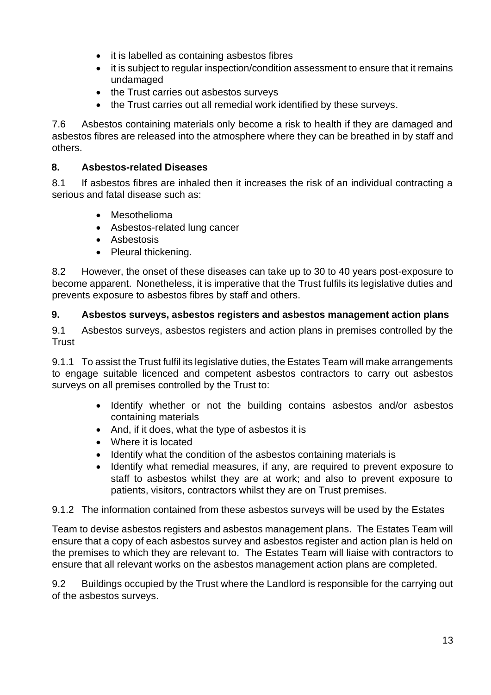- it is labelled as containing asbestos fibres
- it is subject to regular inspection/condition assessment to ensure that it remains undamaged
- the Trust carries out asbestos surveys
- the Trust carries out all remedial work identified by these surveys.

7.6 Asbestos containing materials only become a risk to health if they are damaged and asbestos fibres are released into the atmosphere where they can be breathed in by staff and others.

## <span id="page-12-0"></span>**8. Asbestos-related Diseases**

8.1 If asbestos fibres are inhaled then it increases the risk of an individual contracting a serious and fatal disease such as:

- Mesothelioma
- Asbestos-related lung cancer
- Asbestosis
- Pleural thickening.

8.2 However, the onset of these diseases can take up to 30 to 40 years post-exposure to become apparent. Nonetheless, it is imperative that the Trust fulfils its legislative duties and prevents exposure to asbestos fibres by staff and others.

#### <span id="page-12-1"></span>**9. Asbestos surveys, asbestos registers and asbestos management action plans**

9.1 Asbestos surveys, asbestos registers and action plans in premises controlled by the **Trust** 

9.1.1 To assist the Trust fulfil its legislative duties, the Estates Team will make arrangements to engage suitable licenced and competent asbestos contractors to carry out asbestos surveys on all premises controlled by the Trust to:

- Identify whether or not the building contains asbestos and/or asbestos containing materials
- And, if it does, what the type of asbestos it is
- Where it is located
- Identify what the condition of the asbestos containing materials is
- Identify what remedial measures, if any, are required to prevent exposure to staff to asbestos whilst they are at work; and also to prevent exposure to patients, visitors, contractors whilst they are on Trust premises.

9.1.2 The information contained from these asbestos surveys will be used by the Estates

Team to devise asbestos registers and asbestos management plans. The Estates Team will ensure that a copy of each asbestos survey and asbestos register and action plan is held on the premises to which they are relevant to. The Estates Team will liaise with contractors to ensure that all relevant works on the asbestos management action plans are completed.

9.2 Buildings occupied by the Trust where the Landlord is responsible for the carrying out of the asbestos surveys.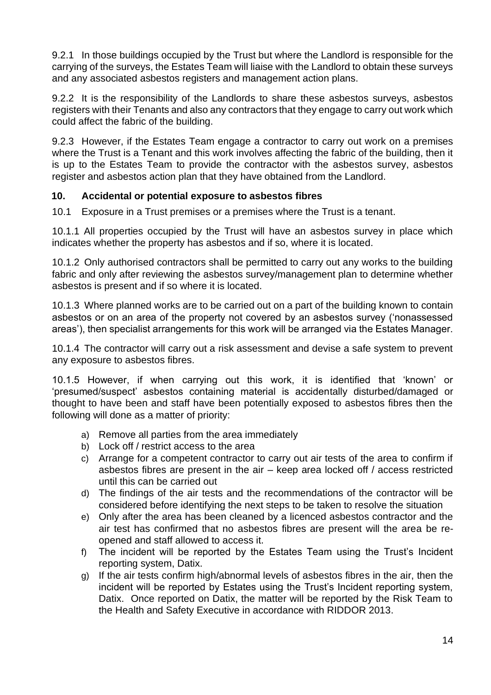9.2.1 In those buildings occupied by the Trust but where the Landlord is responsible for the carrying of the surveys, the Estates Team will liaise with the Landlord to obtain these surveys and any associated asbestos registers and management action plans.

9.2.2 It is the responsibility of the Landlords to share these asbestos surveys, asbestos registers with their Tenants and also any contractors that they engage to carry out work which could affect the fabric of the building.

9.2.3 However, if the Estates Team engage a contractor to carry out work on a premises where the Trust is a Tenant and this work involves affecting the fabric of the building, then it is up to the Estates Team to provide the contractor with the asbestos survey, asbestos register and asbestos action plan that they have obtained from the Landlord.

#### <span id="page-13-0"></span>**10. Accidental or potential exposure to asbestos fibres**

10.1 Exposure in a Trust premises or a premises where the Trust is a tenant.

10.1.1 All properties occupied by the Trust will have an asbestos survey in place which indicates whether the property has asbestos and if so, where it is located.

10.1.2 Only authorised contractors shall be permitted to carry out any works to the building fabric and only after reviewing the asbestos survey/management plan to determine whether asbestos is present and if so where it is located.

10.1.3 Where planned works are to be carried out on a part of the building known to contain asbestos or on an area of the property not covered by an asbestos survey ('nonassessed areas'), then specialist arrangements for this work will be arranged via the Estates Manager.

10.1.4 The contractor will carry out a risk assessment and devise a safe system to prevent any exposure to asbestos fibres.

10.1.5 However, if when carrying out this work, it is identified that 'known' or 'presumed/suspect' asbestos containing material is accidentally disturbed/damaged or thought to have been and staff have been potentially exposed to asbestos fibres then the following will done as a matter of priority:

- a) Remove all parties from the area immediately
- b) Lock off / restrict access to the area
- c) Arrange for a competent contractor to carry out air tests of the area to confirm if asbestos fibres are present in the air – keep area locked off / access restricted until this can be carried out
- d) The findings of the air tests and the recommendations of the contractor will be considered before identifying the next steps to be taken to resolve the situation
- e) Only after the area has been cleaned by a licenced asbestos contractor and the air test has confirmed that no asbestos fibres are present will the area be reopened and staff allowed to access it.
- f) The incident will be reported by the Estates Team using the Trust's Incident reporting system, Datix.
- g) If the air tests confirm high/abnormal levels of asbestos fibres in the air, then the incident will be reported by Estates using the Trust's Incident reporting system, Datix. Once reported on Datix, the matter will be reported by the Risk Team to the Health and Safety Executive in accordance with RIDDOR 2013.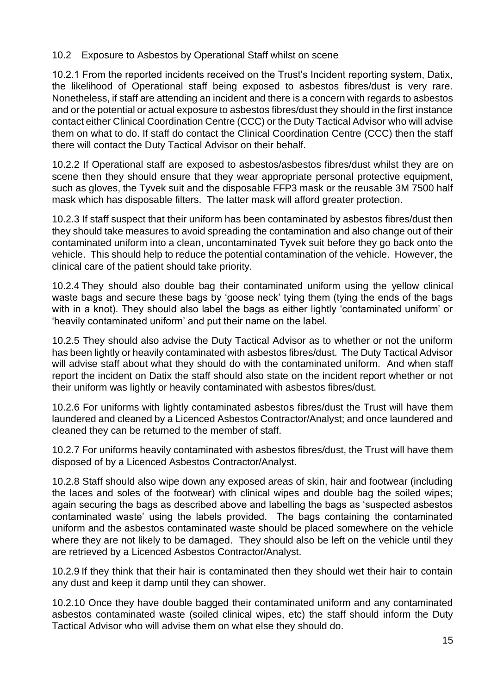10.2 Exposure to Asbestos by Operational Staff whilst on scene

10.2.1 From the reported incidents received on the Trust's Incident reporting system, Datix, the likelihood of Operational staff being exposed to asbestos fibres/dust is very rare. Nonetheless, if staff are attending an incident and there is a concern with regards to asbestos and or the potential or actual exposure to asbestos fibres/dust they should in the first instance contact either Clinical Coordination Centre (CCC) or the Duty Tactical Advisor who will advise them on what to do. If staff do contact the Clinical Coordination Centre (CCC) then the staff there will contact the Duty Tactical Advisor on their behalf.

10.2.2 If Operational staff are exposed to asbestos/asbestos fibres/dust whilst they are on scene then they should ensure that they wear appropriate personal protective equipment, such as gloves, the Tyvek suit and the disposable FFP3 mask or the reusable 3M 7500 half mask which has disposable filters. The latter mask will afford greater protection.

10.2.3 If staff suspect that their uniform has been contaminated by asbestos fibres/dust then they should take measures to avoid spreading the contamination and also change out of their contaminated uniform into a clean, uncontaminated Tyvek suit before they go back onto the vehicle. This should help to reduce the potential contamination of the vehicle. However, the clinical care of the patient should take priority.

10.2.4 They should also double bag their contaminated uniform using the yellow clinical waste bags and secure these bags by 'goose neck' tying them (tying the ends of the bags with in a knot). They should also label the bags as either lightly 'contaminated uniform' or 'heavily contaminated uniform' and put their name on the label.

10.2.5 They should also advise the Duty Tactical Advisor as to whether or not the uniform has been lightly or heavily contaminated with asbestos fibres/dust. The Duty Tactical Advisor will advise staff about what they should do with the contaminated uniform. And when staff report the incident on Datix the staff should also state on the incident report whether or not their uniform was lightly or heavily contaminated with asbestos fibres/dust.

10.2.6 For uniforms with lightly contaminated asbestos fibres/dust the Trust will have them laundered and cleaned by a Licenced Asbestos Contractor/Analyst; and once laundered and cleaned they can be returned to the member of staff.

10.2.7 For uniforms heavily contaminated with asbestos fibres/dust, the Trust will have them disposed of by a Licenced Asbestos Contractor/Analyst.

10.2.8 Staff should also wipe down any exposed areas of skin, hair and footwear (including the laces and soles of the footwear) with clinical wipes and double bag the soiled wipes; again securing the bags as described above and labelling the bags as 'suspected asbestos contaminated waste' using the labels provided. The bags containing the contaminated uniform and the asbestos contaminated waste should be placed somewhere on the vehicle where they are not likely to be damaged. They should also be left on the vehicle until they are retrieved by a Licenced Asbestos Contractor/Analyst.

10.2.9 If they think that their hair is contaminated then they should wet their hair to contain any dust and keep it damp until they can shower.

10.2.10 Once they have double bagged their contaminated uniform and any contaminated asbestos contaminated waste (soiled clinical wipes, etc) the staff should inform the Duty Tactical Advisor who will advise them on what else they should do.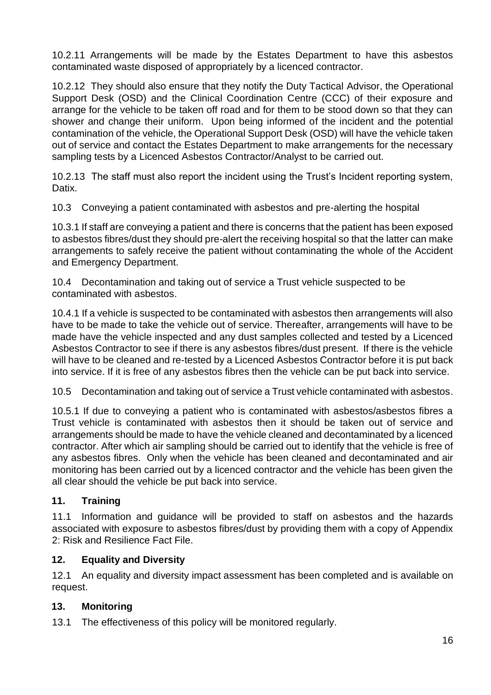10.2.11 Arrangements will be made by the Estates Department to have this asbestos contaminated waste disposed of appropriately by a licenced contractor.

10.2.12 They should also ensure that they notify the Duty Tactical Advisor, the Operational Support Desk (OSD) and the Clinical Coordination Centre (CCC) of their exposure and arrange for the vehicle to be taken off road and for them to be stood down so that they can shower and change their uniform. Upon being informed of the incident and the potential contamination of the vehicle, the Operational Support Desk (OSD) will have the vehicle taken out of service and contact the Estates Department to make arrangements for the necessary sampling tests by a Licenced Asbestos Contractor/Analyst to be carried out.

10.2.13 The staff must also report the incident using the Trust's Incident reporting system, Datix.

10.3 Conveying a patient contaminated with asbestos and pre-alerting the hospital

10.3.1 If staff are conveying a patient and there is concerns that the patient has been exposed to asbestos fibres/dust they should pre-alert the receiving hospital so that the latter can make arrangements to safely receive the patient without contaminating the whole of the Accident and Emergency Department.

10.4 Decontamination and taking out of service a Trust vehicle suspected to be contaminated with asbestos.

10.4.1 If a vehicle is suspected to be contaminated with asbestos then arrangements will also have to be made to take the vehicle out of service. Thereafter, arrangements will have to be made have the vehicle inspected and any dust samples collected and tested by a Licenced Asbestos Contractor to see if there is any asbestos fibres/dust present. If there is the vehicle will have to be cleaned and re-tested by a Licenced Asbestos Contractor before it is put back into service. If it is free of any asbestos fibres then the vehicle can be put back into service.

10.5 Decontamination and taking out of service a Trust vehicle contaminated with asbestos.

10.5.1 If due to conveying a patient who is contaminated with asbestos/asbestos fibres a Trust vehicle is contaminated with asbestos then it should be taken out of service and arrangements should be made to have the vehicle cleaned and decontaminated by a licenced contractor. After which air sampling should be carried out to identify that the vehicle is free of any asbestos fibres. Only when the vehicle has been cleaned and decontaminated and air monitoring has been carried out by a licenced contractor and the vehicle has been given the all clear should the vehicle be put back into service.

#### <span id="page-15-0"></span>**11. Training**

11.1 Information and guidance will be provided to staff on asbestos and the hazards associated with exposure to asbestos fibres/dust by providing them with a copy of Appendix 2: Risk and Resilience Fact File.

#### <span id="page-15-1"></span>**12. Equality and Diversity**

12.1 An equality and diversity impact assessment has been completed and is available on request.

#### <span id="page-15-2"></span>**13. Monitoring**

13.1 The effectiveness of this policy will be monitored regularly.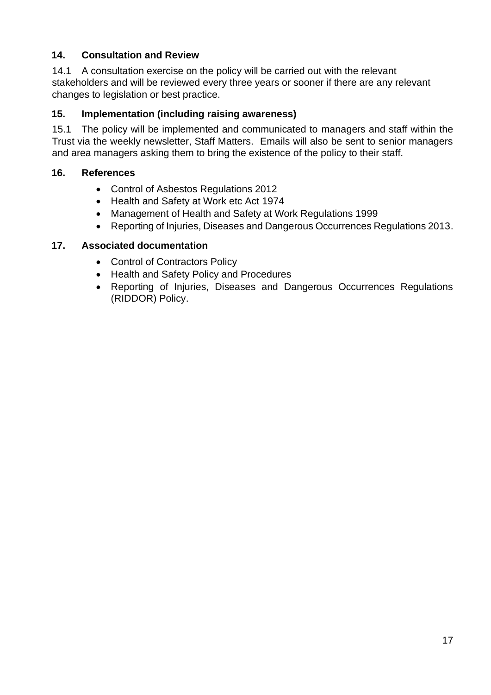#### <span id="page-16-0"></span>**14. Consultation and Review**

14.1 A consultation exercise on the policy will be carried out with the relevant stakeholders and will be reviewed every three years or sooner if there are any relevant changes to legislation or best practice.

#### <span id="page-16-1"></span>**15. Implementation (including raising awareness)**

15.1 The policy will be implemented and communicated to managers and staff within the Trust via the weekly newsletter, Staff Matters. Emails will also be sent to senior managers and area managers asking them to bring the existence of the policy to their staff.

#### <span id="page-16-2"></span>**16. References**

- Control of Asbestos Regulations 2012
- Health and Safety at Work etc Act 1974
- Management of Health and Safety at Work Regulations 1999
- Reporting of Injuries, Diseases and Dangerous Occurrences Regulations 2013.

#### <span id="page-16-3"></span>**17. Associated documentation**

- Control of Contractors Policy
- Health and Safety Policy and Procedures
- Reporting of Injuries, Diseases and Dangerous Occurrences Regulations (RIDDOR) Policy.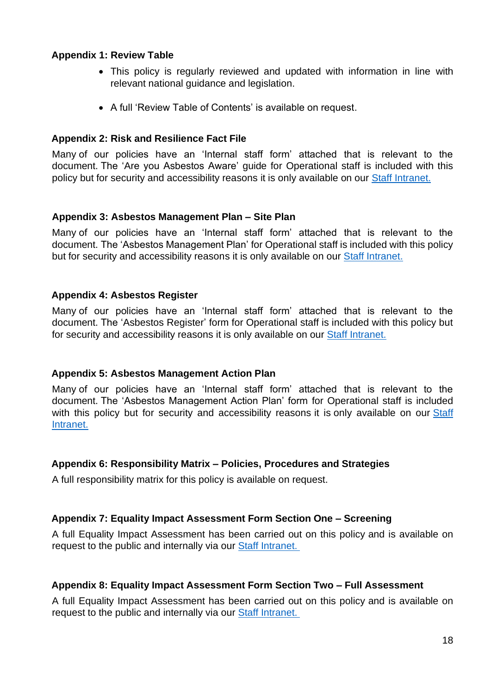#### <span id="page-17-0"></span>**Appendix 1: Review Table**

- This policy is regularly reviewed and updated with information in line with relevant national guidance and legislation.
- A full 'Review Table of Contents' is available on request.

#### <span id="page-17-1"></span>**Appendix 2: Risk and Resilience Fact File**

Many of our policies have an 'Internal staff form' attached that is relevant to the document. The 'Are you Asbestos Aware' guide for Operational staff is included with this policy but for security and accessibility reasons it is only available on our [Staff Intranet.](https://www.scas.nhs.uk/intranet/)

#### <span id="page-17-2"></span>**Appendix 3: Asbestos Management Plan – Site Plan**

Many of our policies have an 'Internal staff form' attached that is relevant to the document. The 'Asbestos Management Plan' for Operational staff is included with this policy but for security and accessibility reasons it is only available on our **Staff Intranet**.

#### <span id="page-17-3"></span>**Appendix 4: Asbestos Register**

Many of our policies have an 'Internal staff form' attached that is relevant to the document. The 'Asbestos Register' form for Operational staff is included with this policy but for security and accessibility reasons it is only available on our [Staff Intranet.](https://www.scas.nhs.uk/intranet/)

#### <span id="page-17-4"></span>**Appendix 5: Asbestos Management Action Plan**

Many of our policies have an 'Internal staff form' attached that is relevant to the document. The 'Asbestos Management Action Plan' form for Operational staff is included with this policy but for security and accessibility reasons it is only available on our Staff [Intranet.](https://www.scas.nhs.uk/intranet/)

#### <span id="page-17-5"></span>**Appendix 6: Responsibility Matrix – Policies, Procedures and Strategies**

A full responsibility matrix for this policy is available on request.

#### <span id="page-17-6"></span>**Appendix 7: Equality Impact Assessment Form Section One – Screening**

A full Equality Impact Assessment has been carried out on this policy and is available on request to the public and internally via our [Staff Intranet.](https://www.scas.nhs.uk/intranet/)

#### <span id="page-17-7"></span>**Appendix 8: Equality Impact Assessment Form Section Two – Full Assessment**

A full Equality Impact Assessment has been carried out on this policy and is available on request to the public and internally via our [Staff Intranet.](https://www.scas.nhs.uk/intranet/)